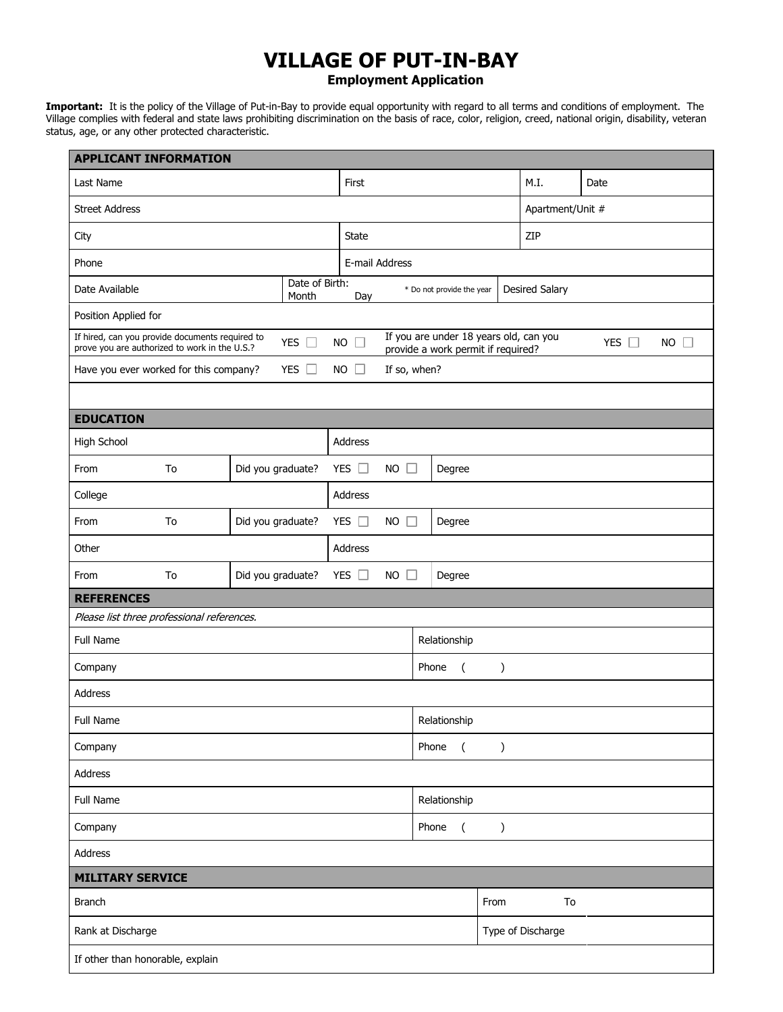## **VILLAGE OF PUT-IN-BAY**

**Employment Application**

**Important:** It is the policy of the Village of Put-in-Bay to provide equal opportunity with regard to all terms and conditions of employment. The Village complies with federal and state laws prohibiting discrimination on the basis of race, color, religion, creed, national origin, disability, veteran status, age, or any other protected characteristic.

| <b>APPLICANT INFORMATION</b>                                                                     |                         |                                                                              |                               |                        |                       |                |  |  |
|--------------------------------------------------------------------------------------------------|-------------------------|------------------------------------------------------------------------------|-------------------------------|------------------------|-----------------------|----------------|--|--|
| Last Name                                                                                        | First                   |                                                                              |                               |                        | Date                  |                |  |  |
| <b>Street Address</b>                                                                            |                         |                                                                              |                               | Apartment/Unit #       |                       |                |  |  |
| City                                                                                             |                         | State                                                                        |                               |                        |                       | ZIP            |  |  |
| Phone                                                                                            | E-mail Address          |                                                                              |                               |                        |                       |                |  |  |
| Date Available                                                                                   | Date of Birth:<br>Month | Day                                                                          | * Do not provide the year     |                        | <b>Desired Salary</b> |                |  |  |
| Position Applied for                                                                             |                         |                                                                              |                               |                        |                       |                |  |  |
| If hired, can you provide documents required to<br>prove you are authorized to work in the U.S.? | $NO$ $\Box$             | If you are under 18 years old, can you<br>provide a work permit if required? |                               |                        | YES $\square$         | $NO$ $\square$ |  |  |
| Have you ever worked for this company?                                                           | $NO$ $\Box$             | If so, when?                                                                 |                               |                        |                       |                |  |  |
|                                                                                                  |                         |                                                                              |                               |                        |                       |                |  |  |
| <b>EDUCATION</b>                                                                                 |                         |                                                                              |                               |                        |                       |                |  |  |
| <b>High School</b>                                                                               |                         | Address                                                                      |                               |                        |                       |                |  |  |
| To<br>From                                                                                       | Did you graduate?       | YES $\square$                                                                | $NO$ $\Box$<br>Degree         |                        |                       |                |  |  |
| College                                                                                          |                         | Address                                                                      |                               |                        |                       |                |  |  |
| To<br>From                                                                                       | Did you graduate?       | YES $\square$                                                                | <b>NO</b><br>$\Box$<br>Degree |                        |                       |                |  |  |
| Other                                                                                            |                         | Address                                                                      |                               |                        |                       |                |  |  |
| To<br>From                                                                                       | Did you graduate?       | YES $\square$                                                                | $NO$ $\Box$<br>Degree         |                        |                       |                |  |  |
| <b>REFERENCES</b>                                                                                |                         |                                                                              |                               |                        |                       |                |  |  |
| Please list three professional references.                                                       |                         |                                                                              |                               |                        |                       |                |  |  |
| Full Name                                                                                        |                         |                                                                              |                               | Relationship           |                       |                |  |  |
| Company                                                                                          |                         |                                                                              | Phone<br>$\left($             | $\mathcal{C}$          |                       |                |  |  |
| <b>Address</b>                                                                                   |                         |                                                                              |                               |                        |                       |                |  |  |
| Full Name                                                                                        |                         |                                                                              |                               | Relationship           |                       |                |  |  |
| Company                                                                                          |                         |                                                                              | Phone<br>$\sqrt{2}$           | $\mathcal{L}$          |                       |                |  |  |
| <b>Address</b>                                                                                   |                         |                                                                              |                               |                        |                       |                |  |  |
| Full Name                                                                                        |                         |                                                                              | Relationship                  |                        |                       |                |  |  |
| Company                                                                                          |                         |                                                                              | Phone<br>$\left($             | $\mathcal{C}^{\prime}$ |                       |                |  |  |
| <b>Address</b>                                                                                   |                         |                                                                              |                               |                        |                       |                |  |  |
| <b>MILITARY SERVICE</b>                                                                          |                         |                                                                              |                               |                        |                       |                |  |  |
| <b>Branch</b>                                                                                    |                         |                                                                              |                               | From                   | To                    |                |  |  |
| Rank at Discharge                                                                                |                         |                                                                              | Type of Discharge             |                        |                       |                |  |  |
| If other than honorable, explain                                                                 |                         |                                                                              |                               |                        |                       |                |  |  |
|                                                                                                  |                         |                                                                              |                               |                        |                       |                |  |  |